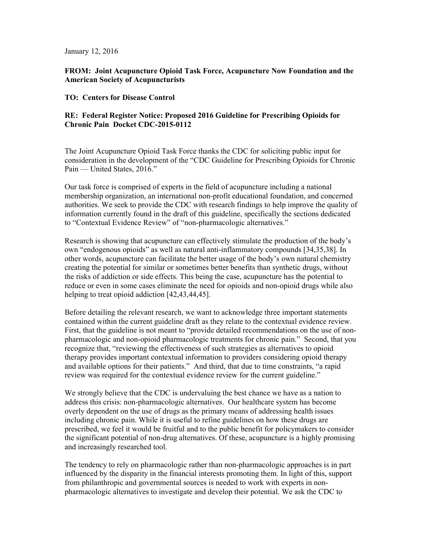January 12, 2016

**FROM: Joint Acupuncture Opioid Task Force, Acupuncture Now Foundation and the American Society of Acupuncturists** 

#### **TO: Centers for Disease Control**

## **RE: Federal Register Notice: Proposed 2016 Guideline for Prescribing Opioids for Chronic Pain Docket CDC-2015-0112**

The Joint Acupuncture Opioid Task Force thanks the CDC for soliciting public input for consideration in the development of the "CDC Guideline for Prescribing Opioids for Chronic Pain — United States, 2016."

Our task force is comprised of experts in the field of acupuncture including a national membership organization, an international non-profit educational foundation, and concerned authorities. We seek to provide the CDC with research findings to help improve the quality of information currently found in the draft of this guideline, specifically the sections dedicated to "Contextual Evidence Review" of "non-pharmacologic alternatives."

Research is showing that acupuncture can effectively stimulate the production of the body's own "endogenous opioids" as well as natural anti-inflammatory compounds [34,35,38]. In other words, acupuncture can facilitate the better usage of the body's own natural chemistry creating the potential for similar or sometimes better benefits than synthetic drugs, without the risks of addiction or side effects. This being the case, acupuncture has the potential to reduce or even in some cases eliminate the need for opioids and non-opioid drugs while also helping to treat opioid addiction [42,43,44,45].

Before detailing the relevant research, we want to acknowledge three important statements contained within the current guideline draft as they relate to the contextual evidence review. First, that the guideline is not meant to "provide detailed recommendations on the use of nonpharmacologic and non-opioid pharmacologic treatments for chronic pain." Second, that you recognize that, "reviewing the effectiveness of such strategies as alternatives to opioid therapy provides important contextual information to providers considering opioid therapy and available options for their patients." And third, that due to time constraints, "a rapid review was required for the contextual evidence review for the current guideline."

We strongly believe that the CDC is undervaluing the best chance we have as a nation to address this crisis: non-pharmacologic alternatives. Our healthcare system has become overly dependent on the use of drugs as the primary means of addressing health issues including chronic pain. While it is useful to refine guidelines on how these drugs are prescribed, we feel it would be fruitful and to the public benefit for policymakers to consider the significant potential of non-drug alternatives. Of these, acupuncture is a highly promising and increasingly researched tool.

The tendency to rely on pharmacologic rather than non-pharmacologic approaches is in part influenced by the disparity in the financial interests promoting them. In light of this, support from philanthropic and governmental sources is needed to work with experts in nonpharmacologic alternatives to investigate and develop their potential. We ask the CDC to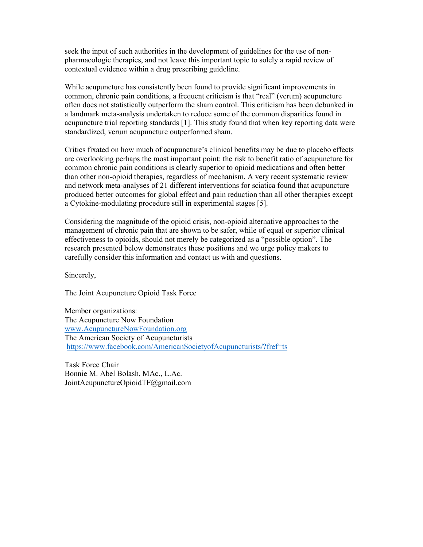seek the input of such authorities in the development of guidelines for the use of nonpharmacologic therapies, and not leave this important topic to solely a rapid review of contextual evidence within a drug prescribing guideline.

While acupuncture has consistently been found to provide significant improvements in common, chronic pain conditions, a frequent criticism is that "real" (verum) acupuncture often does not statistically outperform the sham control. This criticism has been debunked in a landmark meta-analysis undertaken to reduce some of the common disparities found in acupuncture trial reporting standards [1]. This study found that when key reporting data were standardized, verum acupuncture outperformed sham.

Critics fixated on how much of acupuncture's clinical benefits may be due to placebo effects are overlooking perhaps the most important point: the risk to benefit ratio of acupuncture for common chronic pain conditions is clearly superior to opioid medications and often better than other non-opioid therapies, regardless of mechanism. A very recent systematic review and network meta-analyses of 21 different interventions for sciatica found that acupuncture produced better outcomes for global effect and pain reduction than all other therapies except a Cytokine-modulating procedure still in experimental stages [5].

Considering the magnitude of the opioid crisis, non-opioid alternative approaches to the management of chronic pain that are shown to be safer, while of equal or superior clinical effectiveness to opioids, should not merely be categorized as a "possible option". The research presented below demonstrates these positions and we urge policy makers to carefully consider this information and contact us with and questions.

Sincerely,

The Joint Acupuncture Opioid Task Force

Member organizations: The Acupuncture Now Foundation www.AcupunctureNowFoundation.org The American Society of Acupuncturists https://www.facebook.com/AmericanSocietyofAcupuncturists/?fref=ts

Task Force Chair Bonnie M. Abel Bolash, MAc., L.Ac. JointAcupunctureOpioidTF@gmail.com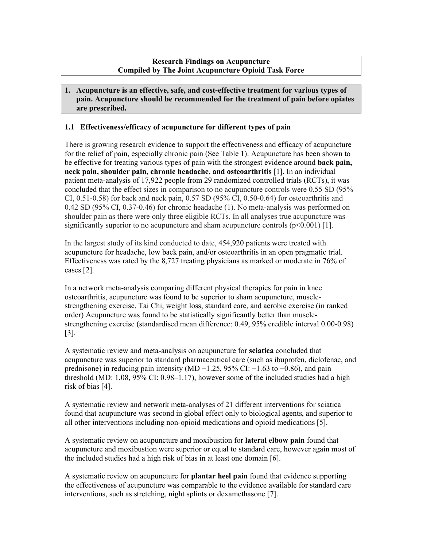# **Research Findings on Acupuncture Compiled by The Joint Acupuncture Opioid Task Force**

## **1. Acupuncture is an effective, safe, and cost-effective treatment for various types of pain. Acupuncture should be recommended for the treatment of pain before opiates are prescribed.**

# **1.1 Effectiveness/efficacy of acupuncture for different types of pain**

There is growing research evidence to support the effectiveness and efficacy of acupuncture for the relief of pain, especially chronic pain (See Table 1). Acupuncture has been shown to be effective for treating various types of pain with the strongest evidence around **back pain, neck pain, shoulder pain, chronic headache, and osteoarthritis** [1]. In an individual patient meta-analysis of 17,922 people from 29 randomized controlled trials (RCTs), it was concluded that the effect sizes in comparison to no acupuncture controls were 0.55 SD (95% CI, 0.51-0.58) for back and neck pain, 0.57 SD (95% CI, 0.50-0.64) for osteoarthritis and 0.42 SD (95% CI, 0.37-0.46) for chronic headache (1). No meta-analysis was performed on shoulder pain as there were only three eligible RCTs. In all analyses true acupuncture was significantly superior to no acupuncture and sham acupuncture controls  $(p<0.001)$  [1].

In the largest study of its kind conducted to date, 454,920 patients were treated with acupuncture for headache, low back pain, and/or osteoarthritis in an open pragmatic trial. Effectiveness was rated by the 8,727 treating physicians as marked or moderate in 76% of cases [2].

In a network meta-analysis comparing different physical therapies for pain in knee osteoarthritis, acupuncture was found to be superior to sham acupuncture, musclestrengthening exercise, Tai Chi, weight loss, standard care, and aerobic exercise (in ranked order) Acupuncture was found to be statistically significantly better than musclestrengthening exercise (standardised mean difference: 0.49, 95% credible interval 0.00-0.98) [3].

A systematic review and meta-analysis on acupuncture for **sciatica** concluded that acupuncture was superior to standard pharmaceutical care (such as ibuprofen, diclofenac, and prednisone) in reducing pain intensity (MD −1.25, 95% CI: −1.63 to −0.86), and pain threshold (MD: 1.08, 95% CI: 0.98–1.17), however some of the included studies had a high risk of bias [4].

A systematic review and network meta-analyses of 21 different interventions for sciatica found that acupuncture was second in global effect only to biological agents, and superior to all other interventions including non-opioid medications and opioid medications [5].

A systematic review on acupuncture and moxibustion for **lateral elbow pain** found that acupuncture and moxibustion were superior or equal to standard care, however again most of the included studies had a high risk of bias in at least one domain [6].

A systematic review on acupuncture for **plantar heel pain** found that evidence supporting the effectiveness of acupuncture was comparable to the evidence available for standard care interventions, such as stretching, night splints or dexamethasone [7].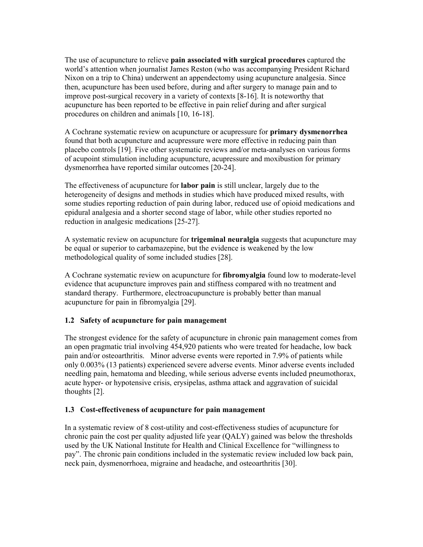The use of acupuncture to relieve **pain associated with surgical procedures** captured the world's attention when journalist James Reston (who was accompanying President Richard Nixon on a trip to China) underwent an appendectomy using acupuncture analgesia. Since then, acupuncture has been used before, during and after surgery to manage pain and to improve post-surgical recovery in a variety of contexts [8-16]. It is noteworthy that acupuncture has been reported to be effective in pain relief during and after surgical procedures on children and animals [10, 16-18].

A Cochrane systematic review on acupuncture or acupressure for **primary dysmenorrhea**  found that both acupuncture and acupressure were more effective in reducing pain than placebo controls [19]. Five other systematic reviews and/or meta-analyses on various forms of acupoint stimulation including acupuncture, acupressure and moxibustion for primary dysmenorrhea have reported similar outcomes [20-24].

The effectiveness of acupuncture for **labor pain** is still unclear, largely due to the heterogeneity of designs and methods in studies which have produced mixed results, with some studies reporting reduction of pain during labor, reduced use of opioid medications and epidural analgesia and a shorter second stage of labor, while other studies reported no reduction in analgesic medications [25-27].

A systematic review on acupuncture for **trigeminal neuralgia** suggests that acupuncture may be equal or superior to carbamazepine, but the evidence is weakened by the low methodological quality of some included studies [28].

A Cochrane systematic review on acupuncture for **fibromyalgia** found low to moderate-level evidence that acupuncture improves pain and stiffness compared with no treatment and standard therapy. Furthermore, electroacupuncture is probably better than manual acupuncture for pain in fibromyalgia [29].

## **1.2 Safety of acupuncture for pain management**

The strongest evidence for the safety of acupuncture in chronic pain management comes from an open pragmatic trial involving 454,920 patients who were treated for headache, low back pain and/or osteoarthritis. Minor adverse events were reported in 7.9% of patients while only 0.003% (13 patients) experienced severe adverse events. Minor adverse events included needling pain, hematoma and bleeding, while serious adverse events included pneumothorax, acute hyper- or hypotensive crisis, erysipelas, asthma attack and aggravation of suicidal thoughts [2].

## **1.3 Cost-effectiveness of acupuncture for pain management**

In a systematic review of 8 cost-utility and cost-effectiveness studies of acupuncture for chronic pain the cost per quality adjusted life year (QALY) gained was below the thresholds used by the UK National Institute for Health and Clinical Excellence for "willingness to pay". The chronic pain conditions included in the systematic review included low back pain, neck pain, dysmenorrhoea, migraine and headache, and osteoarthritis [30].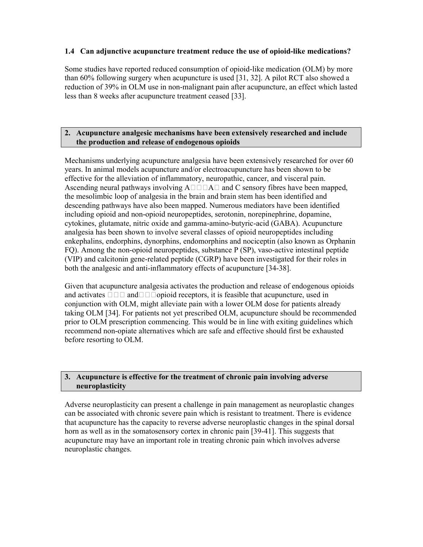# **1.4 Can adjunctive acupuncture treatment reduce the use of opioid-like medications?**

Some studies have reported reduced consumption of opioid-like medication (OLM) by more than 60% following surgery when acupuncture is used [31, 32]. A pilot RCT also showed a reduction of 39% in OLM use in non-malignant pain after acupuncture, an effect which lasted less than 8 weeks after acupuncture treatment ceased [33].

# **2. Acupuncture analgesic mechanisms have been extensively researched and include the production and release of endogenous opioids**

Mechanisms underlying acupuncture analgesia have been extensively researched for over 60 years. In animal models acupuncture and/or electroacupuncture has been shown to be effective for the alleviation of inflammatory, neuropathic, cancer, and visceral pain. Ascending neural pathways involving  $A \square \square A \square$  and C sensory fibres have been mapped, the mesolimbic loop of analgesia in the brain and brain stem has been identified and descending pathways have also been mapped. Numerous mediators have been identified including opioid and non-opioid neuropeptides, serotonin, norepinephrine, dopamine, cytokines, glutamate, nitric oxide and gamma-amino-butyric-acid (GABA). Acupuncture analgesia has been shown to involve several classes of opioid neuropeptides including enkephalins, endorphins, dynorphins, endomorphins and nociceptin (also known as Orphanin FQ). Among the non-opioid neuropeptides, substance P (SP), vaso-active intestinal peptide (VIP) and calcitonin gene-related peptide (CGRP) have been investigated for their roles in both the analgesic and anti-inflammatory effects of acupuncture [34-38].

Given that acupuncture analgesia activates the production and release of endogenous opioids and activates andopioid receptors, it is feasible that acupuncture, used in conjunction with OLM, might alleviate pain with a lower OLM dose for patients already taking OLM [34]. For patients not yet prescribed OLM, acupuncture should be recommended prior to OLM prescription commencing. This would be in line with exiting guidelines which recommend non-opiate alternatives which are safe and effective should first be exhausted before resorting to OLM.

# **3. Acupuncture is effective for the treatment of chronic pain involving adverse neuroplasticity**

Adverse neuroplasticity can present a challenge in pain management as neuroplastic changes can be associated with chronic severe pain which is resistant to treatment. There is evidence that acupuncture has the capacity to reverse adverse neuroplastic changes in the spinal dorsal horn as well as in the somatosensory cortex in chronic pain [39-41]. This suggests that acupuncture may have an important role in treating chronic pain which involves adverse neuroplastic changes.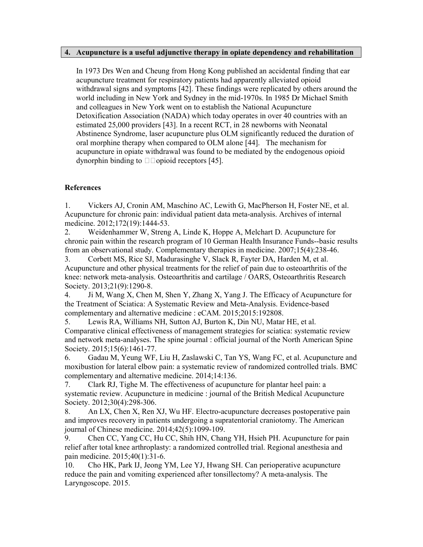#### **4. Acupuncture is a useful adjunctive therapy in opiate dependency and rehabilitation**

In 1973 Drs Wen and Cheung from Hong Kong published an accidental finding that ear acupuncture treatment for respiratory patients had apparently alleviated opioid withdrawal signs and symptoms [42]. These findings were replicated by others around the world including in New York and Sydney in the mid-1970s. In 1985 Dr Michael Smith and colleagues in New York went on to establish the National Acupuncture Detoxification Association (NADA) which today operates in over 40 countries with an estimated 25,000 providers [43]. In a recent RCT, in 28 newborns with Neonatal Abstinence Syndrome, laser acupuncture plus OLM significantly reduced the duration of oral morphine therapy when compared to OLM alone [44]. The mechanism for acupuncture in opiate withdrawal was found to be mediated by the endogenous opioid dynorphin binding to  $\square$  opioid receptors [45].

## **References**

1. Vickers AJ, Cronin AM, Maschino AC, Lewith G, MacPherson H, Foster NE, et al. Acupuncture for chronic pain: individual patient data meta-analysis. Archives of internal medicine. 2012;172(19):1444-53.

2. Weidenhammer W, Streng A, Linde K, Hoppe A, Melchart D. Acupuncture for chronic pain within the research program of 10 German Health Insurance Funds--basic results from an observational study. Complementary therapies in medicine. 2007;15(4):238-46.

3. Corbett MS, Rice SJ, Madurasinghe V, Slack R, Fayter DA, Harden M, et al. Acupuncture and other physical treatments for the relief of pain due to osteoarthritis of the knee: network meta-analysis. Osteoarthritis and cartilage / OARS, Osteoarthritis Research Society. 2013;21(9):1290-8.

4. Ji M, Wang X, Chen M, Shen Y, Zhang X, Yang J. The Efficacy of Acupuncture for the Treatment of Sciatica: A Systematic Review and Meta-Analysis. Evidence-based complementary and alternative medicine : eCAM. 2015;2015:192808.

5. Lewis RA, Williams NH, Sutton AJ, Burton K, Din NU, Matar HE, et al. Comparative clinical effectiveness of management strategies for sciatica: systematic review and network meta-analyses. The spine journal : official journal of the North American Spine Society. 2015;15(6):1461-77.

6. Gadau M, Yeung WF, Liu H, Zaslawski C, Tan YS, Wang FC, et al. Acupuncture and moxibustion for lateral elbow pain: a systematic review of randomized controlled trials. BMC complementary and alternative medicine. 2014;14:136.

7. Clark RJ, Tighe M. The effectiveness of acupuncture for plantar heel pain: a systematic review. Acupuncture in medicine : journal of the British Medical Acupuncture Society. 2012;30(4):298-306.

8. An LX, Chen X, Ren XJ, Wu HF. Electro-acupuncture decreases postoperative pain and improves recovery in patients undergoing a supratentorial craniotomy. The American journal of Chinese medicine. 2014;42(5):1099-109.

9. Chen CC, Yang CC, Hu CC, Shih HN, Chang YH, Hsieh PH. Acupuncture for pain relief after total knee arthroplasty: a randomized controlled trial. Regional anesthesia and pain medicine. 2015;40(1):31-6.

10. Cho HK, Park IJ, Jeong YM, Lee YJ, Hwang SH. Can perioperative acupuncture reduce the pain and vomiting experienced after tonsillectomy? A meta-analysis. The Laryngoscope. 2015.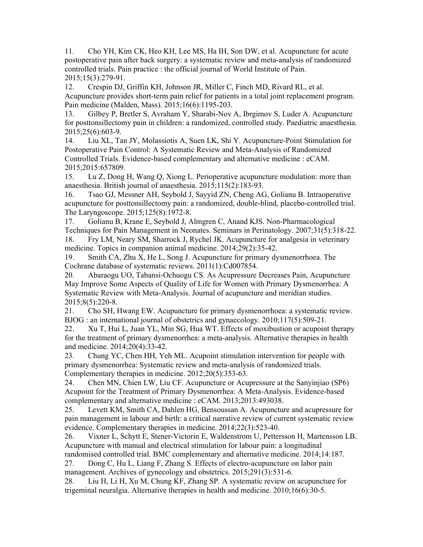11. Cho YH, Kim CK, Heo KH, Lee MS, Ha IH, Son DW, et al. Acupuncture for acute postoperative pain after back surgery: a systematic review and meta-analysis of randomized controlled trials. Pain practice : the official journal of World Institute of Pain. 2015;15(3):279-91.

12. Crespin DJ, Griffin KH, Johnson JR, Miller C, Finch MD, Rivard RL, et al. Acupuncture provides short-term pain relief for patients in a total joint replacement program. Pain medicine (Malden, Mass). 2015;16(6):1195-203.

13. Gilbey P, Bretler S, Avraham Y, Sharabi-Nov A, Ibrgimov S, Luder A. Acupuncture for posttonsillectomy pain in children: a randomized, controlled study. Paediatric anaesthesia. 2015;25(6):603-9.

14. Liu XL, Tan JY, Molassiotis A, Suen LK, Shi Y. Acupuncture-Point Stimulation for Postoperative Pain Control: A Systematic Review and Meta-Analysis of Randomized Controlled Trials. Evidence-based complementary and alternative medicine : eCAM. 2015;2015:657809.

15. Lu Z, Dong H, Wang Q, Xiong L. Perioperative acupuncture modulation: more than anaesthesia. British journal of anaesthesia. 2015;115(2):183-93.

16. Tsao GJ, Messner AH, Seybold J, Sayyid ZN, Cheng AG, Golianu B. Intraoperative acupuncture for posttonsillectomy pain: a randomized, double-blind, placebo-controlled trial. The Laryngoscope. 2015;125(8):1972-8.

17. Golianu B, Krane E, Seybold J, Almgren C, Anand KJS. Non-Pharmacological Techniques for Pain Management in Neonates. Seminars in Perinatology. 2007;31(5):318-22. 18. Fry LM, Neary SM, Sharrock J, Rychel JK. Acupuncture for analgesia in veterinary

medicine. Topics in companion animal medicine. 2014;29(2):35-42. 19. Smith CA, Zhu X, He L, Song J. Acupuncture for primary dysmenorrhoea. The Cochrane database of systematic reviews. 2011(1):Cd007854.

20. Abaraogu UO, Tabansi-Ochuogu CS. As Acupressure Decreases Pain, Acupuncture May Improve Some Aspects of Quality of Life for Women with Primary Dysmenorrhea: A Systematic Review with Meta-Analysis. Journal of acupuncture and meridian studies. 2015;8(5):220-8.

21. Cho SH, Hwang EW. Acupuncture for primary dysmenorrhoea: a systematic review. BJOG : an international journal of obstetrics and gynaecology. 2010;117(5):509-21.

22. Xu T, Hui L, Juan YL, Min SG, Hua WT. Effects of moxibustion or acupoint therapy for the treatment of primary dysmenorrhea: a meta-analysis. Alternative therapies in health and medicine. 2014;20(4):33-42.

23. Chung YC, Chen HH, Yeh ML. Acupoint stimulation intervention for people with primary dysmenorrhea: Systematic review and meta-analysis of randomized trials. Complementary therapies in medicine. 2012;20(5):353-63.

24. Chen MN, Chien LW, Liu CF. Acupuncture or Acupressure at the Sanyinjiao (SP6) Acupoint for the Treatment of Primary Dysmenorrhea: A Meta-Analysis. Evidence-based complementary and alternative medicine : eCAM. 2013;2013:493038.

25. Levett KM, Smith CA, Dahlen HG, Bensoussan A. Acupuncture and acupressure for pain management in labour and birth: a critical narrative review of current systematic review evidence. Complementary therapies in medicine. 2014;22(3):523-40.

26. Vixner L, Schytt E, Stener-Victorin E, Waldenstrom U, Pettersson H, Martensson LB. Acupuncture with manual and electrical stimulation for labour pain: a longitudinal

randomised controlled trial. BMC complementary and alternative medicine. 2014;14:187. 27. Dong C, Hu L, Liang F, Zhang S. Effects of electro-acupuncture on labor pain management. Archives of gynecology and obstetrics. 2015;291(3):531-6.

28. Liu H, Li H, Xu M, Chung KF, Zhang SP. A systematic review on acupuncture for trigeminal neuralgia. Alternative therapies in health and medicine. 2010;16(6):30-5.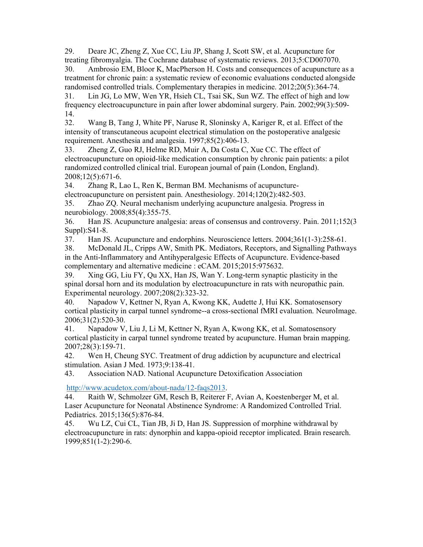29. Deare JC, Zheng Z, Xue CC, Liu JP, Shang J, Scott SW, et al. Acupuncture for treating fibromyalgia. The Cochrane database of systematic reviews. 2013;5:CD007070.

30. Ambrosio EM, Bloor K, MacPherson H. Costs and consequences of acupuncture as a treatment for chronic pain: a systematic review of economic evaluations conducted alongside randomised controlled trials. Complementary therapies in medicine. 2012;20(5):364-74.

31. Lin JG, Lo MW, Wen YR, Hsieh CL, Tsai SK, Sun WZ. The effect of high and low frequency electroacupuncture in pain after lower abdominal surgery. Pain. 2002;99(3):509- 14.

32. Wang B, Tang J, White PF, Naruse R, Sloninsky A, Kariger R, et al. Effect of the intensity of transcutaneous acupoint electrical stimulation on the postoperative analgesic requirement. Anesthesia and analgesia. 1997;85(2):406-13.

33. Zheng Z, Guo RJ, Helme RD, Muir A, Da Costa C, Xue CC. The effect of electroacupuncture on opioid-like medication consumption by chronic pain patients: a pilot randomized controlled clinical trial. European journal of pain (London, England). 2008;12(5):671-6.

34. Zhang R, Lao L, Ren K, Berman BM. Mechanisms of acupunctureelectroacupuncture on persistent pain. Anesthesiology. 2014;120(2):482-503.

35. Zhao ZQ. Neural mechanism underlying acupuncture analgesia. Progress in neurobiology. 2008;85(4):355-75.

36. Han JS. Acupuncture analgesia: areas of consensus and controversy. Pain. 2011;152(3 Suppl):S41-8.

37. Han JS. Acupuncture and endorphins. Neuroscience letters. 2004;361(1-3):258-61.

38. McDonald JL, Cripps AW, Smith PK. Mediators, Receptors, and Signalling Pathways in the Anti-Inflammatory and Antihyperalgesic Effects of Acupuncture. Evidence-based complementary and alternative medicine : eCAM. 2015;2015:975632.

39. Xing GG, Liu FY, Qu XX, Han JS, Wan Y. Long-term synaptic plasticity in the spinal dorsal horn and its modulation by electroacupuncture in rats with neuropathic pain. Experimental neurology. 2007;208(2):323-32.

40. Napadow V, Kettner N, Ryan A, Kwong KK, Audette J, Hui KK. Somatosensory cortical plasticity in carpal tunnel syndrome--a cross-sectional fMRI evaluation. NeuroImage. 2006;31(2):520-30.

41. Napadow V, Liu J, Li M, Kettner N, Ryan A, Kwong KK, et al. Somatosensory cortical plasticity in carpal tunnel syndrome treated by acupuncture. Human brain mapping. 2007;28(3):159-71.

42. Wen H, Cheung SYC. Treatment of drug addiction by acupuncture and electrical stimulation. Asian J Med. 1973;9:138-41.

43. Association NAD. National Acupuncture Detoxification Association

http://www.acudetox.com/about-nada/12-faqs2013.

44. Raith W, Schmolzer GM, Resch B, Reiterer F, Avian A, Koestenberger M, et al. Laser Acupuncture for Neonatal Abstinence Syndrome: A Randomized Controlled Trial. Pediatrics. 2015;136(5):876-84.

45. Wu LZ, Cui CL, Tian JB, Ji D, Han JS. Suppression of morphine withdrawal by electroacupuncture in rats: dynorphin and kappa-opioid receptor implicated. Brain research. 1999;851(1-2):290-6.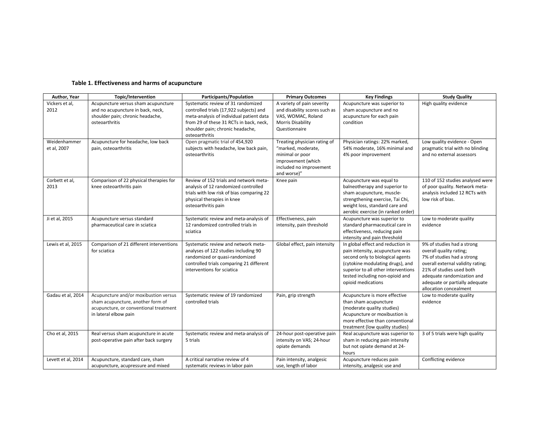#### **Table 1. Effectiveness and harms of acupuncture**

| Author, Year                | Topic/Intervention                                                                                                                            | Participants/Population                                                                                                                                                                                                    | <b>Primary Outcomes</b>                                                                                                               | <b>Key Findings</b>                                                                                                                                                                                                                          | <b>Study Quality</b>                                                                                                                                                                                                                           |
|-----------------------------|-----------------------------------------------------------------------------------------------------------------------------------------------|----------------------------------------------------------------------------------------------------------------------------------------------------------------------------------------------------------------------------|---------------------------------------------------------------------------------------------------------------------------------------|----------------------------------------------------------------------------------------------------------------------------------------------------------------------------------------------------------------------------------------------|------------------------------------------------------------------------------------------------------------------------------------------------------------------------------------------------------------------------------------------------|
| Vickers et al,<br>2012      | Acupuncture versus sham acupuncture<br>and no acupuncture in back, neck,<br>shoulder pain; chronic headache,<br>osteoarthritis                | Systematic review of 31 randomized<br>controlled trials (17,922 subjects) and<br>meta-analysis of individual patient data<br>from 29 of these 31 RCTs in back, neck,<br>shoulder pain; chronic headache,<br>osteoarthritis | A variety of pain severity<br>and disability scores such as<br>VAS, WOMAC, Roland<br>Morris Disability<br>Questionnaire               | Acupuncture was superior to<br>sham acupuncture and no<br>acupuncture for each pain<br>condition                                                                                                                                             | High quality evidence                                                                                                                                                                                                                          |
| Weidenhammer<br>et al, 2007 | Acupuncture for headache, low back<br>pain, osteoarthritis                                                                                    | Open pragmatic trial of 454,920<br>subjects with headache, low back pain,<br>osteoarthritis                                                                                                                                | Treating physician rating of<br>"marked, moderate,<br>minimal or poor<br>improvement (which<br>included no improvement<br>and worse)" | Physician ratings: 22% marked,<br>54% moderate, 16% minimal and<br>4% poor improvement                                                                                                                                                       | Low quality evidence - Open<br>pragmatic trial with no blinding<br>and no external assessors                                                                                                                                                   |
| Corbett et al,<br>2013      | Comparison of 22 physical therapies for<br>knee osteoarthritis pain                                                                           | Review of 152 trials and network meta-<br>analysis of 12 randomized controlled<br>trials with low risk of bias comparing 22<br>physical therapies in knee<br>osteoarthritis pain                                           | Knee pain                                                                                                                             | Acupuncture was equal to<br>balneotherapy and superior to<br>sham acupuncture, muscle-<br>strengthening exercise, Tai Chi,<br>weight loss, standard care and<br>aerobic exercise (in ranked order)                                           | 110 of 152 studies analysed were<br>of poor quality. Network meta-<br>analysis included 12 RCTs with<br>low risk of bias.                                                                                                                      |
| Ji et al, 2015              | Acupuncture versus standard<br>pharmaceutical care in sciatica                                                                                | Systematic review and meta-analysis of<br>12 randomized controlled trials in<br>sciatica                                                                                                                                   | Effectiveness, pain<br>intensity, pain threshold                                                                                      | Acupuncture was superior to<br>standard pharmaceutical care in<br>effectiveness, reducing pain<br>intensity and pain threshold                                                                                                               | Low to moderate quality<br>evidence                                                                                                                                                                                                            |
| Lewis et al, 2015           | Comparison of 21 different interventions<br>for sciatica                                                                                      | Systematic review and network meta-<br>analyses of 122 studies including 90<br>randomized or quasi-randomized<br>controlled trials comparing 21 different<br>interventions for sciatica                                    | Global effect, pain intensity                                                                                                         | In global effect and reduction in<br>pain intensity, acupuncture was<br>second only to biological agents<br>(cytokine modulating drugs), and<br>superior to all other interventions<br>tested including non-opioid and<br>opioid medications | 9% of studies had a strong<br>overall quality rating;<br>7% of studies had a strong<br>overall external validity rating;<br>21% of studies used both<br>adequate randomization and<br>adequate or partially adequate<br>allocation concealment |
| Gadau et al, 2014           | Acupuncture and/or moxibustion versus<br>sham acupuncture, another form of<br>acupuncture, or conventional treatment<br>in lateral elbow pain | Systematic review of 19 randomized<br>controlled trials                                                                                                                                                                    | Pain, grip strength                                                                                                                   | Acupuncture is more effective<br>than sham acupuncture<br>(moderate quality studies)<br>Acupuncture or moxibustion is<br>more effective than conventional<br>treatment (low quality studies)                                                 | Low to moderate quality<br>evidence                                                                                                                                                                                                            |
| Cho et al, 2015             | Real versus sham acupuncture in acute<br>post-operative pain after back surgery                                                               | Systematic review and meta-analysis of<br>5 trials                                                                                                                                                                         | 24-hour post-operative pain<br>intensity on VAS; 24-hour<br>opiate demands                                                            | Real acupuncture was superior to<br>sham in reducing pain intensity<br>but not opiate demand at 24-<br>hours                                                                                                                                 | 3 of 5 trials were high quality                                                                                                                                                                                                                |
| Levett et al, 2014          | Acupuncture, standard care, sham<br>acupuncture, acupressure and mixed                                                                        | A critical narrative review of 4<br>systematic reviews in labor pain                                                                                                                                                       | Pain intensity, analgesic<br>use, length of labor                                                                                     | Acupuncture reduces pain<br>intensity, analgesic use and                                                                                                                                                                                     | Conflicting evidence                                                                                                                                                                                                                           |